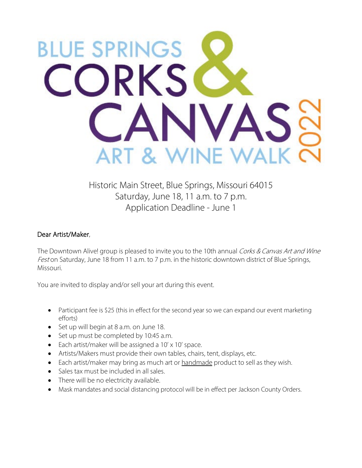

Historic Main Street, Blue Springs, Missouri 64015 Saturday, June 18, 11 a.m. to 7 p.m. Application Deadline - June 1

## Dear Artist/Maker,

The Downtown Alive! group is pleased to invite you to the 10th annual Corks & Canvas Art and Wine Fest on Saturday, June 18 from 11 a.m. to 7 p.m. in the historic downtown district of Blue Springs, Missouri.

You are invited to display and/or sell your art during this event.

- Participant fee is \$25 (this in effect for the second year so we can expand our event marketing efforts)
- Set up will begin at 8 a.m. on June 18.
- Set up must be completed by 10:45 a.m.
- Each artist/maker will be assigned a 10' x 10' space.
- Artists/Makers must provide their own tables, chairs, tent, displays, etc.
- Each artist/maker may bring as much art or handmade product to sell as they wish.
- Sales tax must be included in all sales.
- There will be no electricity available.
- Mask mandates and social distancing protocol will be in effect per Jackson County Orders.